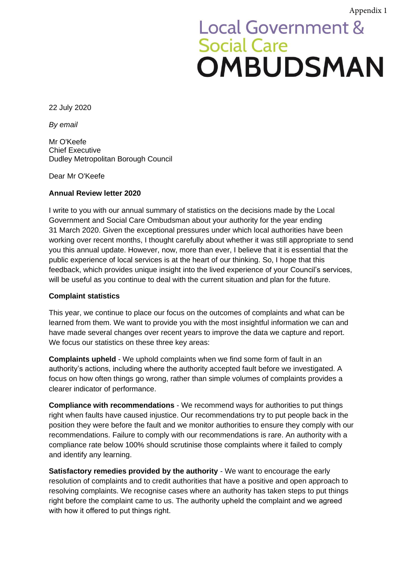## **Local Government & Social Care OMBUDSMAN**

22 July 2020

*By email*

Mr O'Keefe Chief Executive Dudley Metropolitan Borough Council

Dear Mr O'Keefe

## **Annual Review letter 2020**

I write to you with our annual summary of statistics on the decisions made by the Local Government and Social Care Ombudsman about your authority for the year ending 31 March 2020. Given the exceptional pressures under which local authorities have been working over recent months, I thought carefully about whether it was still appropriate to send you this annual update. However, now, more than ever, I believe that it is essential that the public experience of local services is at the heart of our thinking. So, I hope that this feedback, which provides unique insight into the lived experience of your Council's services, will be useful as you continue to deal with the current situation and plan for the future.

## **Complaint statistics**

This year, we continue to place our focus on the outcomes of complaints and what can be learned from them. We want to provide you with the most insightful information we can and have made several changes over recent years to improve the data we capture and report. We focus our statistics on these three key areas:

**Complaints upheld** - We uphold complaints when we find some form of fault in an authority's actions, including where the authority accepted fault before we investigated. A focus on how often things go wrong, rather than simple volumes of complaints provides a clearer indicator of performance.

**Compliance with recommendations** - We recommend ways for authorities to put things right when faults have caused injustice. Our recommendations try to put people back in the position they were before the fault and we monitor authorities to ensure they comply with our recommendations. Failure to comply with our recommendations is rare. An authority with a compliance rate below 100% should scrutinise those complaints where it failed to comply and identify any learning.

**Satisfactory remedies provided by the authority** - We want to encourage the early resolution of complaints and to credit authorities that have a positive and open approach to resolving complaints. We recognise cases where an authority has taken steps to put things right before the complaint came to us. The authority upheld the complaint and we agreed with how it offered to put things right.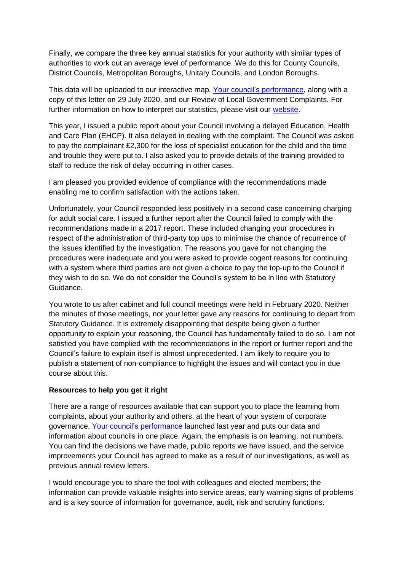Finally, we compare the three key annual statistics for your authority with similar types of authorities to work out an average level of performance. We do this for County Councils, District Councils, Metropolitan Boroughs, Unitary Councils, and London Boroughs.

This data will be uploaded to our interactive map, [Your council's performance,](https://www.lgo.org.uk/your-councils-performance) along with a copy of this letter on 29 July 2020, and our Review of Local Government Complaints. For further information on how to interpret our statistics, please visit our [website.](https://www.lgo.org.uk/information-centre/reports/annual-review-reports/interpreting-local-authority-statistics)

This year, I issued a public report about your Council involving a delayed Education, Health and Care Plan (EHCP). It also delayed in dealing with the complaint. The Council was asked to pay the complainant £2,300 for the loss of specialist education for the child and the time and trouble they were put to. I also asked you to provide details of the training provided to staff to reduce the risk of delay occurring in other cases.

I am pleased you provided evidence of compliance with the recommendations made enabling me to confirm satisfaction with the actions taken.

Unfortunately, your Council responded less positively in a second case concerning charging for adult social care. I issued a further report after the Council failed to comply with the recommendations made in a 2017 report. These included changing your procedures in respect of the administration of third-party top ups to minimise the chance of recurrence of the issues identified by the investigation. The reasons you gave for not changing the procedures were inadequate and you were asked to provide cogent reasons for continuing with a system where third parties are not given a choice to pay the top-up to the Council if they wish to do so. We do not consider the Council's system to be in line with Statutory Guidance.

You wrote to us after cabinet and full council meetings were held in February 2020. Neither the minutes of those meetings, nor your letter gave any reasons for continuing to depart from Statutory Guidance. It is extremely disappointing that despite being given a further opportunity to explain your reasoning, the Council has fundamentally failed to do so. I am not satisfied you have complied with the recommendations in the report or further report and the Council's failure to explain itself is almost unprecedented. I am likely to require you to publish a statement of non-compliance to highlight the issues and will contact you in due course about this.

## **Resources to help you get it right**

There are a range of resources available that can support you to place the learning from complaints, about your authority and others, at the heart of your system of corporate governance. Your [council's performance](https://www.lgo.org.uk/your-councils-performance) launched last year and puts our data and information about councils in one place. Again, the emphasis is on learning, not numbers. You can find the decisions we have made, public reports we have issued, and the service improvements your Council has agreed to make as a result of our investigations, as well as previous annual review letters.

I would encourage you to share the tool with colleagues and elected members; the information can provide valuable insights into service areas, early warning signs of problems and is a key source of information for governance, audit, risk and scrutiny functions.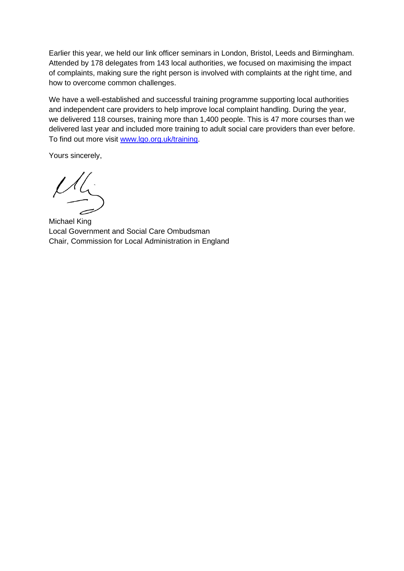Earlier this year, we held our link officer seminars in London, Bristol, Leeds and Birmingham. Attended by 178 delegates from 143 local authorities, we focused on maximising the impact of complaints, making sure the right person is involved with complaints at the right time, and how to overcome common challenges.

We have a well-established and successful training programme supporting local authorities and independent care providers to help improve local complaint handling. During the year, we delivered 118 courses, training more than 1,400 people. This is 47 more courses than we delivered last year and included more training to adult social care providers than ever before. To find out more visit [www.lgo.org.uk/training.](http://www.lgo.org.uk/training)

Yours sincerely,

Michael King Local Government and Social Care Ombudsman Chair, Commission for Local Administration in England